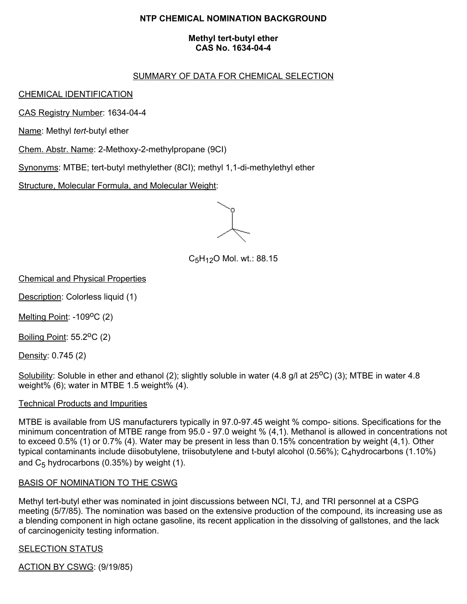# **NTP CHEMICAL NOMINATION BACKGROUND**

#### **Methyl tert-butyl ether CAS No. 1634-04-4**

## SUMMARY OF DATA FOR CHEMICAL SELECTION

## CHEMICAL IDENTIFICATION

CAS Registry Number: 1634-04-4

Name: Methyl *tert*-butyl ether

Chem. Abstr. Name: 2-Methoxy-2-methylpropane (9CI)

Synonyms: MTBE; tert-butyl methylether (8CI); methyl 1,1-di-methylethyl ether

Structure, Molecular Formula, and Molecular Weight:

 $C_5H_{12}O$  Mol. wt.: 88.15

Chemical and Physical Properties

Description: Colorless liquid (1)

Melting Point: -109<sup>o</sup>C (2)

Boiling Point: 55.2<sup>o</sup>C (2)

Density: 0.745 (2)

Solubility: Soluble in ether and ethanol (2); slightly soluble in water (4.8 g/l at 25<sup>o</sup>C) (3); MTBE in water 4.8 weight% (6); water in MTBE 1.5 weight% (4).

### Technical Products and Impurities

MTBE is available from US manufacturers typically in 97.0-97.45 weight % compo- sitions. Specifications for the minimum concentration of MTBE range from 95.0 - 97.0 weight % (4,1). Methanol is allowed in concentrations not to exceed 0.5% (1) or 0.7% (4). Water may be present in less than 0.15% concentration by weight (4,1). Other typical contaminants include diisobutylene, triisobutylene and t-butyl alcohol (0.56%); C<sub>4</sub>hydrocarbons (1.10%) and  $C_5$  hydrocarbons (0.35%) by weight (1).

### BASIS OF NOMINATION TO THE CSWG

Methyl tert-butyl ether was nominated in joint discussions between NCI, TJ, and TRI personnel at a CSPG meeting (5/7/85). The nomination was based on the extensive production of the compound, its increasing use as a blending component in high octane gasoline, its recent application in the dissolving of gallstones, and the lack of carcinogenicity testing information.

### **SELECTION STATUS**

ACTION BY CSWG: (9/19/85)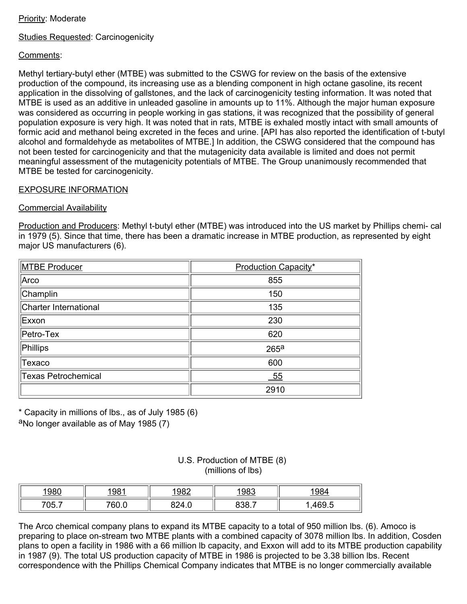## Priority: Moderate

# Studies Requested: Carcinogenicity

# Comments:

Methyl tertiary-butyl ether (MTBE) was submitted to the CSWG for review on the basis of the extensive production of the compound, its increasing use as a blending component in high octane gasoline, its recent application in the dissolving of gallstones, and the lack of carcinogenicity testing information. It was noted that MTBE is used as an additive in unleaded gasoline in amounts up to 11%. Although the major human exposure was considered as occurring in people working in gas stations, it was recognized that the possibility of general population exposure is very high. It was noted that in rats, MTBE is exhaled mostly intact with small amounts of formic acid and methanol being excreted in the feces and urine. [API has also reported the identification of t-butyl alcohol and formaldehyde as metabolites of MTBE.] In addition, the CSWG considered that the compound has not been tested for carcinogenicity and that the mutagenicity data available is limited and does not permit meaningful assessment of the mutagenicity potentials of MTBE. The Group unanimously recommended that MTBE be tested for carcinogenicity.

#### EXPOSURE INFORMATION

#### Commercial Availability

Production and Producers: Methyl t-butyl ether (MTBE) was introduced into the US market by Phillips chemi- cal in 1979 (5). Since that time, there has been a dramatic increase in MTBE production, as represented by eight major US manufacturers (6).

| MTBE Producer              | Production Capacity* |  |  |
|----------------------------|----------------------|--|--|
| Arco                       | 855                  |  |  |
| Champlin                   | 150                  |  |  |
| Charter International      | 135                  |  |  |
| Exxon                      | 230                  |  |  |
| $\Vert$ Petro-Tex          | 620                  |  |  |
| Phillips                   | 265 <sup>a</sup>     |  |  |
| Texaco                     | 600                  |  |  |
| <b>Texas Petrochemical</b> | 55                   |  |  |
|                            | 2910                 |  |  |

\* Capacity in millions of lbs., as of July 1985 (6) aNo longer available as of May 1985 (7)

| U.S. Production of MTBE (8) |  |  |  |
|-----------------------------|--|--|--|
| (millions of lbs)           |  |  |  |

| 1980  | <u> 1981</u> | <u> 1982 </u> | <u> 1983</u> | <u> 1984</u> |
|-------|--------------|---------------|--------------|--------------|
| 705.7 | 760.0        | 824.0         | 838 T        | 469.5        |

The Arco chemical company plans to expand its MTBE capacity to a total of 950 million lbs. (6). Amoco is preparing to place on-stream two MTBE plants with a combined capacity of 3078 million lbs. In addition, Cosden plans to open a facility in 1986 with a 66 million lb capacity, and Exxon will add to its MTBE production capability in 1987 (9). The total US production capacity of MTBE in 1986 is projected to be 3.38 billion lbs. Recent correspondence with the Phillips Chemical Company indicates that MTBE is no longer commercially available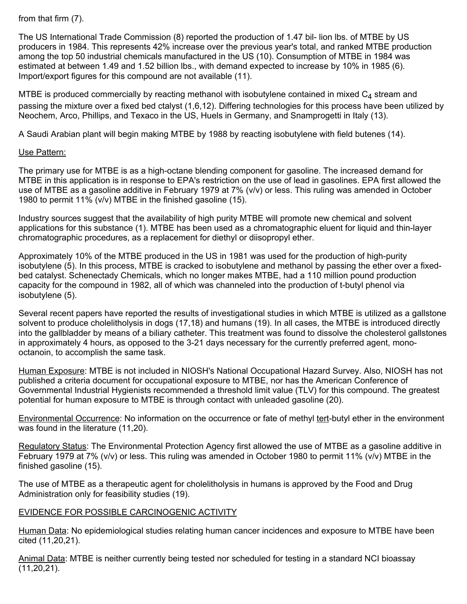from that firm (7).

The US International Trade Commission (8) reported the production of 1.47 bil- lion lbs. of MTBE by US producers in 1984. This represents 42% increase over the previous year's total, and ranked MTBE production among the top 50 industrial chemicals manufactured in the US (10). Consumption of MTBE in 1984 was estimated at between 1.49 and 1.52 billion lbs., with demand expected to increase by 10% in 1985 (6). Import/export figures for this compound are not available (11).

MTBE is produced commercially by reacting methanol with isobutylene contained in mixed  $C_4$  stream and passing the mixture over a fixed bed ctalyst (1,6,12). Differing technologies for this process have been utilized by Neochem, Arco, Phillips, and Texaco in the US, Huels in Germany, and Snamprogetti in Italy (13).

A Saudi Arabian plant will begin making MTBE by 1988 by reacting isobutylene with field butenes (14).

### Use Pattern:

The primary use for MTBE is as a high-octane blending component for gasoline. The increased demand for MTBE in this application is in response to EPA's restriction on the use of lead in gasolines. EPA first allowed the use of MTBE as a gasoline additive in February 1979 at 7% (v/v) or less. This ruling was amended in October 1980 to permit 11% (v/v) MTBE in the finished gasoline (15).

Industry sources suggest that the availability of high purity MTBE will promote new chemical and solvent applications for this substance (1). MTBE has been used as a chromatographic eluent for liquid and thin-layer chromatographic procedures, as a replacement for diethyl or diisopropyl ether.

Approximately 10% of the MTBE produced in the US in 1981 was used for the production of high-purity isobutylene (5). In this process, MTBE is cracked to isobutylene and methanol by passing the ether over a fixedbed catalyst. Schenectady Chemicals, which no longer makes MTBE, had a 110 million pound production capacity for the compound in 1982, all of which was channeled into the production of t-butyl phenol via isobutylene (5).

Several recent papers have reported the results of investigational studies in which MTBE is utilized as a gallstone solvent to produce cholelitholysis in dogs (17,18) and humans (19). In all cases, the MTBE is introduced directly into the gallbladder by means of a biliary catheter. This treatment was found to dissolve the cholesterol gallstones in approximately 4 hours, as opposed to the 3-21 days necessary for the currently preferred agent, monooctanoin, to accomplish the same task.

Human Exposure: MTBE is not included in NIOSH's National Occupational Hazard Survey. Also, NIOSH has not published a criteria document for occupational exposure to MTBE, nor has the American Conference of Governmental Industrial Hygienists recommended a threshold limit value (TLV) for this compound. The greatest potential for human exposure to MTBE is through contact with unleaded gasoline (20).

Environmental Occurrence: No information on the occurrence or fate of methyl tert-butyl ether in the environment was found in the literature (11,20).

Regulatory Status: The Environmental Protection Agency first allowed the use of MTBE as a gasoline additive in February 1979 at 7% (v/v) or less. This ruling was amended in October 1980 to permit 11% (v/v) MTBE in the finished gasoline (15).

The use of MTBE as a therapeutic agent for cholelitholysis in humans is approved by the Food and Drug Administration only for feasibility studies (19).

# EVIDENCE FOR POSSIBLE CARCINOGENIC ACTIVITY

Human Data: No epidemiological studies relating human cancer incidences and exposure to MTBE have been cited (11,20,21).

Animal Data: MTBE is neither currently being tested nor scheduled for testing in a standard NCI bioassay (11,20,21).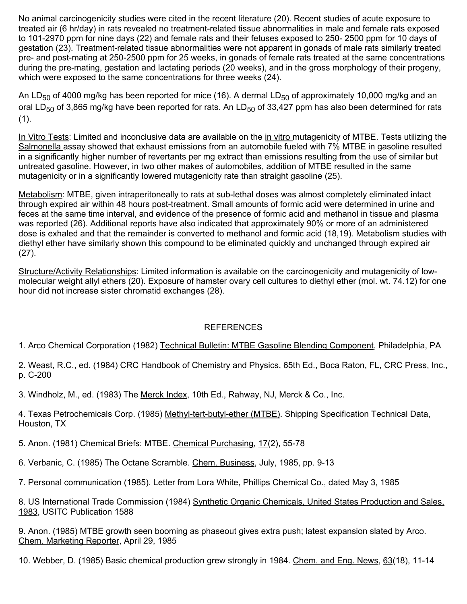No animal carcinogenicity studies were cited in the recent literature (20). Recent studies of acute exposure to treated air (6 hr/day) in rats revealed no treatment-related tissue abnormalities in male and female rats exposed to 101-2970 ppm for nine days (22) and female rats and their fetuses exposed to 250- 2500 ppm for 10 days of gestation (23). Treatment-related tissue abnormalities were not apparent in gonads of male rats similarly treated pre- and post-mating at 250-2500 ppm for 25 weeks, in gonads of female rats treated at the same concentrations during the pre-mating, gestation and lactating periods (20 weeks), and in the gross morphology of their progeny, which were exposed to the same concentrations for three weeks (24).

An LD<sub>50</sub> of 4000 mg/kg has been reported for mice (16). A dermal LD<sub>50</sub> of approximately 10,000 mg/kg and an oral LD<sub>50</sub> of 3,865 mg/kg have been reported for rats. An LD<sub>50</sub> of 33,427 ppm has also been determined for rats  $(1).$ 

In Vitro Tests: Limited and inconclusive data are available on the in vitro mutagenicity of MTBE. Tests utilizing the Salmonella assay showed that exhaust emissions from an automobile fueled with 7% MTBE in gasoline resulted in a significantly higher number of revertants per mg extract than emissions resulting from the use of similar but untreated gasoline. However, in two other makes of automobiles, addition of MTBE resulted in the same mutagenicity or in a significantly lowered mutagenicity rate than straight gasoline (25).

Metabolism: MTBE, given intraperitoneally to rats at sub-lethal doses was almost completely eliminated intact through expired air within 48 hours post-treatment. Small amounts of formic acid were determined in urine and feces at the same time interval, and evidence of the presence of formic acid and methanol in tissue and plasma was reported (26). Additional reports have also indicated that approximately 90% or more of an administered dose is exhaled and that the remainder is converted to methanol and formic acid (18,19). Metabolism studies with diethyl ether have similarly shown this compound to be eliminated quickly and unchanged through expired air (27).

Structure/Activity Relationships: Limited information is available on the carcinogenicity and mutagenicity of lowmolecular weight allyl ethers (20). Exposure of hamster ovary cell cultures to diethyl ether (mol. wt. 74.12) for one hour did not increase sister chromatid exchanges (28).

# REFERENCES

1. Arco Chemical Corporation (1982) Technical Bulletin: MTBE Gasoline Blending Component, Philadelphia, PA

2. Weast, R.C., ed. (1984) CRC Handbook of Chemistry and Physics, 65th Ed., Boca Raton, FL, CRC Press, Inc., p. C-200

3. Windholz, M., ed. (1983) The Merck Index, 10th Ed., Rahway, NJ, Merck & Co., Inc.

4. Texas Petrochemicals Corp. (1985) Methyl-tert-butyl-ether (MTBE). Shipping Specification Technical Data, Houston, TX

5. Anon. (1981) Chemical Briefs: MTBE. Chemical Purchasing, 17(2), 55-78

6. Verbanic, C. (1985) The Octane Scramble. Chem. Business, July, 1985, pp. 9-13

7. Personal communication (1985). Letter from Lora White, Phillips Chemical Co., dated May 3, 1985

8. US International Trade Commission (1984) Synthetic Organic Chemicals, United States Production and Sales, 1983, USITC Publication 1588

9. Anon. (1985) MTBE growth seen booming as phaseout gives extra push; latest expansion slated by Arco. Chem. Marketing Reporter, April 29, 1985

10. Webber, D. (1985) Basic chemical production grew strongly in 1984. Chem. and Eng. News, 63(18), 11-14